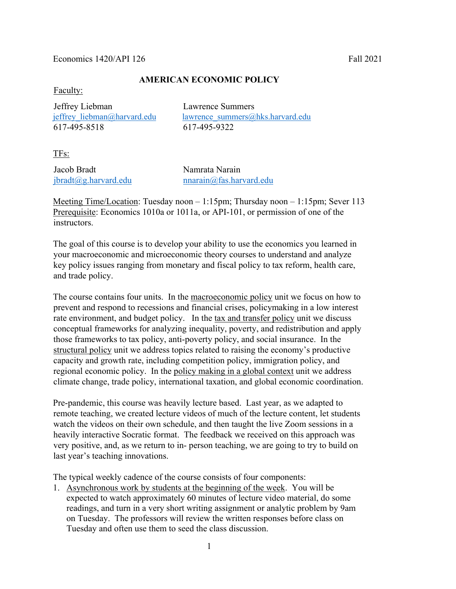#### $E$ conomics 1420/API 126 Fall 2021

## **AMERICAN ECONOMIC POLICY**

Faculty:

 Jeffrey Liebman Lawrence Summers 617-495-8518 617-495-9322

jeffrey liebman@harvard.edu lawrence\_summers@hks.harvard.edu

TFs:

Jacob Bradt Namrata Narain

jbradt@g.harvard.edu nnarain@fas.harvard.edu

Meeting Time/Location: Tuesday noon – 1:15pm; Thursday noon – 1:15pm; Sever 113 Prerequisite: Economics 1010a or 1011a, or API-101, or permission of one of the instructors.

The goal of this course is to develop your ability to use the economics you learned in your macroeconomic and microeconomic theory courses to understand and analyze key policy issues ranging from monetary and fiscal policy to tax reform, health care, and trade policy.

The course contains four units. In the macroeconomic policy unit we focus on how to prevent and respond to recessions and financial crises, policymaking in a low interest rate environment, and budget policy. In the tax and transfer policy unit we discuss conceptual frameworks for analyzing inequality, poverty, and redistribution and apply those frameworks to tax policy, anti-poverty policy, and social insurance. In the structural policy unit we address topics related to raising the economy's productive capacity and growth rate, including competition policy, immigration policy, and regional economic policy. In the policy making in a global context unit we address climate change, trade policy, international taxation, and global economic coordination.

Pre-pandemic, this course was heavily lecture based. Last year, as we adapted to remote teaching, we created lecture videos of much of the lecture content, let students watch the videos on their own schedule, and then taught the live Zoom sessions in a heavily interactive Socratic format. The feedback we received on this approach was very positive, and, as we return to in- person teaching, we are going to try to build on last year's teaching innovations.

The typical weekly cadence of the course consists of four components:

1. Asynchronous work by students at the beginning of the week. You will be expected to watch approximately 60 minutes of lecture video material, do some readings, and turn in a very short writing assignment or analytic problem by 9am on Tuesday. The professors will review the written responses before class on Tuesday and often use them to seed the class discussion.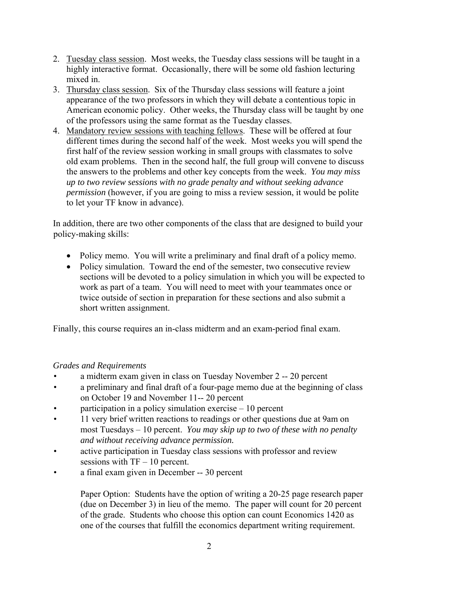- 2. Tuesday class session. Most weeks, the Tuesday class sessions will be taught in a highly interactive format. Occasionally, there will be some old fashion lecturing mixed in.
- 3. Thursday class session. Six of the Thursday class sessions will feature a joint appearance of the two professors in which they will debate a contentious topic in American economic policy. Other weeks, the Thursday class will be taught by one of the professors using the same format as the Tuesday classes.
- 4. Mandatory review sessions with teaching fellows. These will be offered at four different times during the second half of the week. Most weeks you will spend the first half of the review session working in small groups with classmates to solve old exam problems. Then in the second half, the full group will convene to discuss the answers to the problems and other key concepts from the week. *You may miss up to two review sessions with no grade penalty and without seeking advance permission* (however, if you are going to miss a review session, it would be polite to let your TF know in advance).

In addition, there are two other components of the class that are designed to build your policy-making skills:

- Policy memo. You will write a preliminary and final draft of a policy memo.
- Policy simulation. Toward the end of the semester, two consecutive review sections will be devoted to a policy simulation in which you will be expected to work as part of a team. You will need to meet with your teammates once or twice outside of section in preparation for these sections and also submit a short written assignment.

Finally, this course requires an in-class midterm and an exam-period final exam.

# *Grades and Requirements*

- a midterm exam given in class on Tuesday November 2 -- 20 percent
- a preliminary and final draft of a four-page memo due at the beginning of class on October 19 and November 11-- 20 percent
- participation in a policy simulation exercise  $-10$  percent
- 11 very brief written reactions to readings or other questions due at 9am on most Tuesdays – 10 percent. *You may skip up to two of these with no penalty and without receiving advance permission.*
- active participation in Tuesday class sessions with professor and review sessions with  $TF - 10$  percent.
- a final exam given in December -- 30 percent

Paper Option: Students have the option of writing a 20-25 page research paper (due on December 3) in lieu of the memo. The paper will count for 20 percent of the grade. Students who choose this option can count Economics 1420 as one of the courses that fulfill the economics department writing requirement.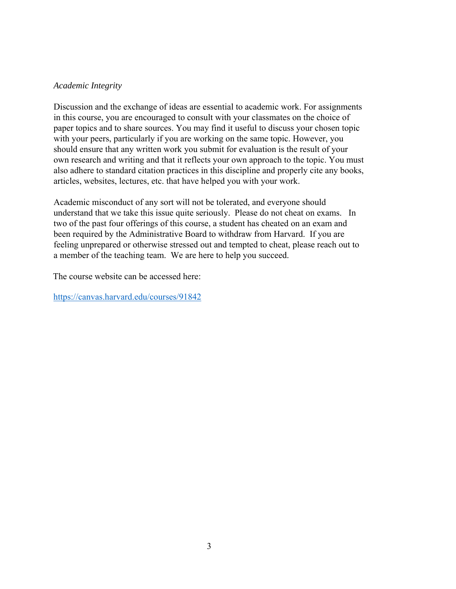### *Academic Integrity*

Discussion and the exchange of ideas are essential to academic work. For assignments in this course, you are encouraged to consult with your classmates on the choice of paper topics and to share sources. You may find it useful to discuss your chosen topic with your peers, particularly if you are working on the same topic. However, you should ensure that any written work you submit for evaluation is the result of your own research and writing and that it reflects your own approach to the topic. You must also adhere to standard citation practices in this discipline and properly cite any books, articles, websites, lectures, etc. that have helped you with your work.

Academic misconduct of any sort will not be tolerated, and everyone should understand that we take this issue quite seriously. Please do not cheat on exams. In two of the past four offerings of this course, a student has cheated on an exam and been required by the Administrative Board to withdraw from Harvard. If you are feeling unprepared or otherwise stressed out and tempted to cheat, please reach out to a member of the teaching team. We are here to help you succeed.

The course website can be accessed here:

https://canvas.harvard.edu/courses/91842